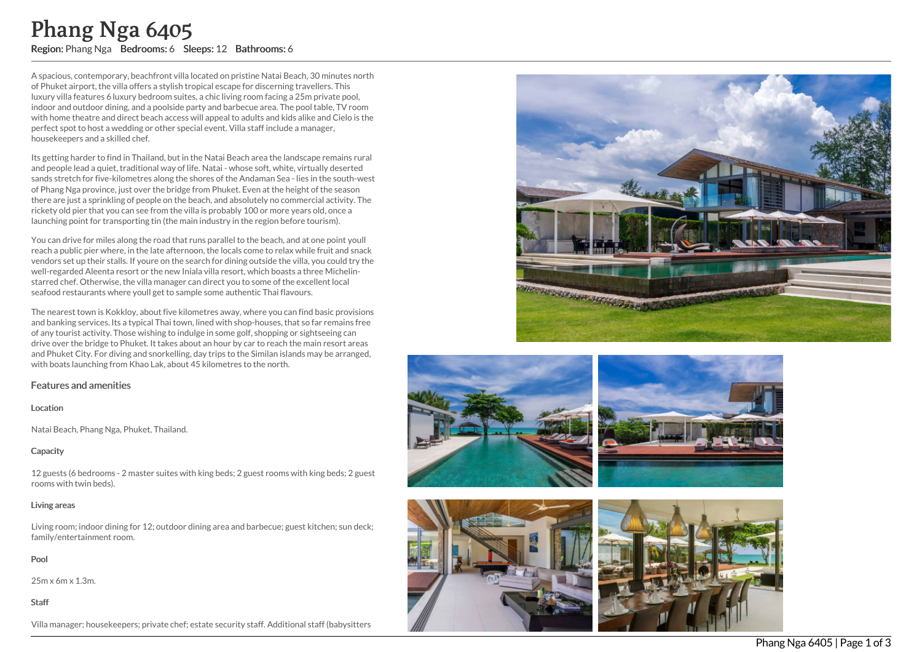A spacious, contemporary, beachfront villa located on pristine Natai Beach, 30 minutes north of Phuket airport, the villa offers a stylish tropical escape for discerning travellers. This luxury villa features 6 luxury bedroom suites, a chic living room facing a 25m private po ol, indoor and outdoor dining, and a poolside party and barbecue area. The pool table, TV roo m with home theatre and direct beach access will appeal to adults and kids alike and Cielo is the perfect spot to host a wedding or other special event. Villa staff include a manager, housekeepers and a skilled chef.

Its getting harder to find in Thailand, but in the Natai Beach area the landscape remains rural and people lead a quiet, traditional way of life. Natai - whose soft, white, virtually deserted sands stretch for five-kilometres along the shores of the Andaman Sea - lies in the south-wes t of Phang Nga province, just over the bridge from Phuket. Even at the height of the season there are just a sprinkling of people on the beach, and absolutely no commercial activity. The rickety old pier that you can see from the villa is probably 100 or more years old, once a launching point for transporting tin (the main industry in the region before tourism). **Phanny IV grade 6405**<br> **Region: Phang Nga Bedrooms: 6** Sleeps: 12 Bathrooms: 6<br>
A spacial construct process the model of the staff. And the chefs of the cheff (absorption the staff. Additional state of the cheff (baby) th

You can drive for miles along the road that runs parallel to the beach, and at one point youll reach a public pier where, in the late afternoon, the locals come to relax while fruit and snac k vendors set up their stalls. If youre on the search for dining outside the villa, you could try the well-regarded Aleenta resort or the new Iniala villa resort, which boasts a three Michelinstarred chef. Otherwise, the villa manager can direct you to some of the excellent local seafood restaurants where youll get to sample some authentic Thai flavours.

The nearest town is Kokkloy, about five kilometres away, where you can find basic provisio n s and banking services. Its a typical Thai town, lined with shop-houses, that so far remains free of any tourist activity. Those wishing to indulge in some golf, shopping or sightseeing can drive over the bridge to Phuket. It takes about an hour by car to reach the main resort areas and Phuket City. For diving and snorkelling, day trips to the Similan islands may be arranged, with boats launching from Khao Lak, about 45 kilometres to the north.

# Features and amenities

### Location

Natai Beach, Phang Nga, Phuket, Thailand.

# **Capacity**

12 guests (6 bedrooms - 2 master suites with king beds; 2 guest rooms with king beds; 2 gues t rooms with twin beds).

### Living areas

Living room; indoor dining for 12; outdoor dining area and barbecue; guest kitchen; sun deck; family/entertainment room.

Pool

25m x 6m x 1.3m.

Staff





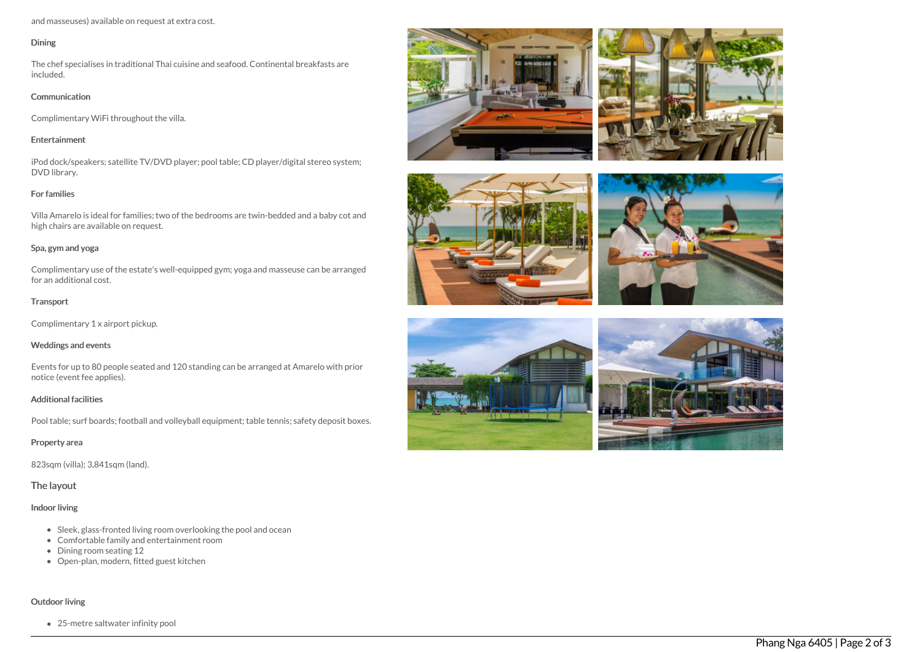and masseuses) available on request at extra cost.

#### Dining

The chef specialises in traditional Thai cuisine and seafood. Continental breakfasts are included.

#### **Communication**

Complimentary WiFi throughout the villa.

#### Entertainment

iPod dock/speakers; satellite TV/DVD player; pool table; CD player/digital stereo system; DVD library.

## For families

Villa Amarelo is ideal for families; two of the bedrooms are twin-bedded and a baby cot and high chairs are available on request.

### Spa, gym and yoga

Complimentary use of the estate's well-equipped gym; yoga and masseuse can be arranged for an additional cost.

### **Transport**

Complimentary 1 x airport pickup.

### Weddings and events

Events for up to 80 people seated and 120 standing can be arranged at Amarelo with prior notice (event fee applies).

### Additional facilities

Pool table; surf boards; football and volleyball equipment; table tennis; safety deposit boxes.

# Property area

823sqm (villa); 3,841sqm (land).

# The layout

# Indoor living

- Sleek, glass-fronted living room overlooking the pool and ocean
- Comfortable family and entertainment room
- Dining room seating 12
- Open-plan, modern, fitted guest kitchen

# Outdoor living

25-metre saltwater infinity pool